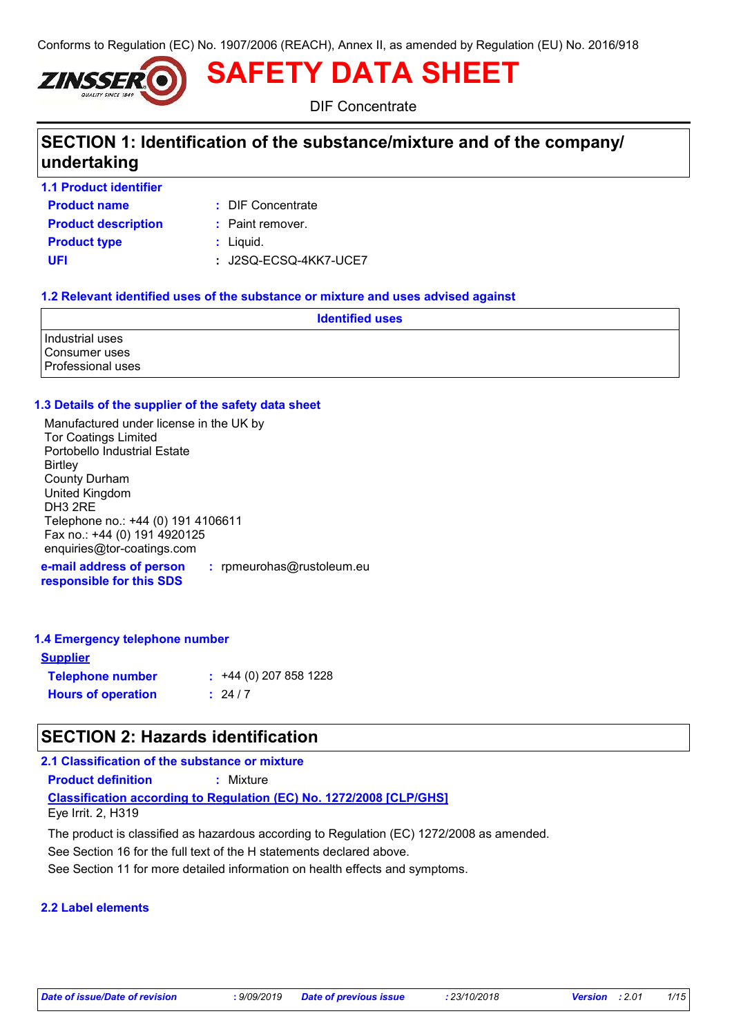Conforms to Regulation (EC) No. 1907/2006 (REACH), Annex II, as amended by Regulation (EU) No. 2016/918



DIF Concentrate

**SAFETY DATA SHEET**

# **SECTION 1: Identification of the substance/mixture and of the company/ undertaking**

- **1.1 Product identifier**
- **Product name**
- DIF Concentrate **:**
- **Product type**  $\qquad$ **:** Liquid. **Product description :** Paint remover.
	-
	-
- **UFI :** J2SQ-ECSQ-4KK7-UCE7

#### **1.2 Relevant identified uses of the substance or mixture and uses advised against**

|                                                       | <b>Identified uses</b> |
|-------------------------------------------------------|------------------------|
| Industrial uses<br>Consumer uses<br>Professional uses |                        |

#### **1.3 Details of the supplier of the safety data sheet**

| Manufactured under license in the UK by               |  |
|-------------------------------------------------------|--|
| <b>Tor Coatings Limited</b>                           |  |
| Portobello Industrial Estate                          |  |
| <b>Birtley</b>                                        |  |
| <b>County Durham</b>                                  |  |
| <b>United Kingdom</b>                                 |  |
| DH <sub>3</sub> 2RE                                   |  |
| Telephone no.: +44 (0) 191 4106611                    |  |
| Fax no.: +44 (0) 191 4920125                          |  |
| enquiries@tor-coatings.com                            |  |
| : rpmeurohas@rustoleum.eu<br>e-mail address of person |  |

**responsible for this SDS**

| .4 Emergency telephone number |                        |
|-------------------------------|------------------------|
| <b>Supplier</b>               |                        |
| <b>Telephone number</b>       | $: 44(0)$ 207 858 1228 |

| <b>Hours of operation</b><br>: 24/7 |
|-------------------------------------|
|-------------------------------------|

# **SECTION 2: Hazards identification**

### **2.1 Classification of the substance or mixture**

**Product definition :** Mixture

**Classification according to Regulation (EC) No. 1272/2008 [CLP/GHS]** Eye Irrit. 2, H319

The product is classified as hazardous according to Regulation (EC) 1272/2008 as amended.

See Section 16 for the full text of the H statements declared above.

See Section 11 for more detailed information on health effects and symptoms.

### **2.2 Label elements**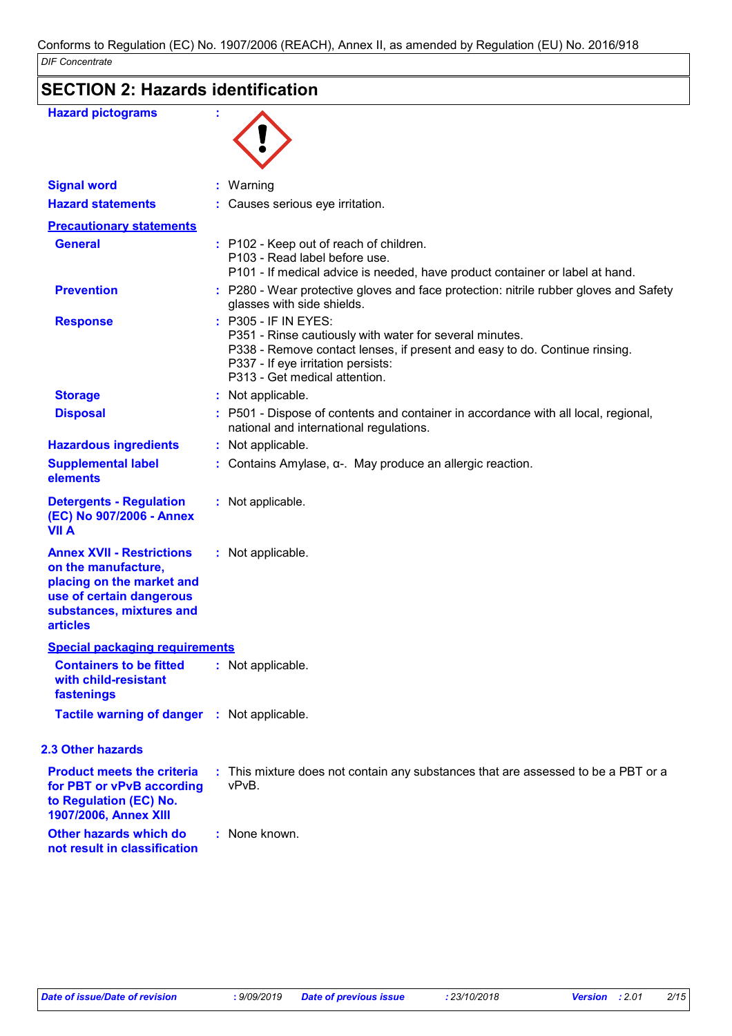| <b>SECTION 2: Hazards identification</b> |  |
|------------------------------------------|--|
|------------------------------------------|--|

| <b>Hazard pictograms</b>                                                |                                                                                                                                                                       |
|-------------------------------------------------------------------------|-----------------------------------------------------------------------------------------------------------------------------------------------------------------------|
|                                                                         |                                                                                                                                                                       |
|                                                                         |                                                                                                                                                                       |
| <b>Signal word</b>                                                      | : Warning                                                                                                                                                             |
| <b>Hazard statements</b>                                                | : Causes serious eye irritation.                                                                                                                                      |
| <b>Precautionary statements</b>                                         |                                                                                                                                                                       |
| <b>General</b>                                                          | : P102 - Keep out of reach of children.                                                                                                                               |
|                                                                         | P103 - Read label before use.                                                                                                                                         |
| <b>Prevention</b>                                                       | P101 - If medical advice is needed, have product container or label at hand.<br>: P280 - Wear protective gloves and face protection: nitrile rubber gloves and Safety |
|                                                                         | glasses with side shields.                                                                                                                                            |
| <b>Response</b>                                                         | : P305 - IF IN EYES:                                                                                                                                                  |
|                                                                         | P351 - Rinse cautiously with water for several minutes.<br>P338 - Remove contact lenses, if present and easy to do. Continue rinsing.                                 |
|                                                                         | P337 - If eye irritation persists:                                                                                                                                    |
|                                                                         | P313 - Get medical attention.                                                                                                                                         |
| <b>Storage</b>                                                          | : Not applicable.                                                                                                                                                     |
| <b>Disposal</b>                                                         | : P501 - Dispose of contents and container in accordance with all local, regional,<br>national and international regulations.                                         |
| <b>Hazardous ingredients</b>                                            | : Not applicable.                                                                                                                                                     |
| <b>Supplemental label</b><br>elements                                   | : Contains Amylase, $\alpha$ . May produce an allergic reaction.                                                                                                      |
| <b>Detergents - Regulation</b>                                          | : Not applicable.                                                                                                                                                     |
| (EC) No 907/2006 - Annex                                                |                                                                                                                                                                       |
| <b>VII A</b>                                                            |                                                                                                                                                                       |
| <b>Annex XVII - Restrictions</b>                                        | : Not applicable.                                                                                                                                                     |
| on the manufacture,<br>placing on the market and                        |                                                                                                                                                                       |
| use of certain dangerous                                                |                                                                                                                                                                       |
| substances, mixtures and<br><b>articles</b>                             |                                                                                                                                                                       |
|                                                                         |                                                                                                                                                                       |
| <b>Special packaging requirements</b><br><b>Containers to be fitted</b> | : Not applicable.                                                                                                                                                     |
| with child-resistant                                                    |                                                                                                                                                                       |
| fastenings                                                              |                                                                                                                                                                       |
| Tactile warning of danger : Not applicable.                             |                                                                                                                                                                       |
| 2.3 Other hazards                                                       |                                                                                                                                                                       |
| <b>Product meets the criteria</b>                                       | : This mixture does not contain any substances that are assessed to be a PBT or a                                                                                     |
| for PBT or vPvB according<br>to Regulation (EC) No.                     | vPvB.                                                                                                                                                                 |
| 1907/2006, Annex XIII                                                   |                                                                                                                                                                       |
| Other hazards which do                                                  | : None known.                                                                                                                                                         |
| not result in classification                                            |                                                                                                                                                                       |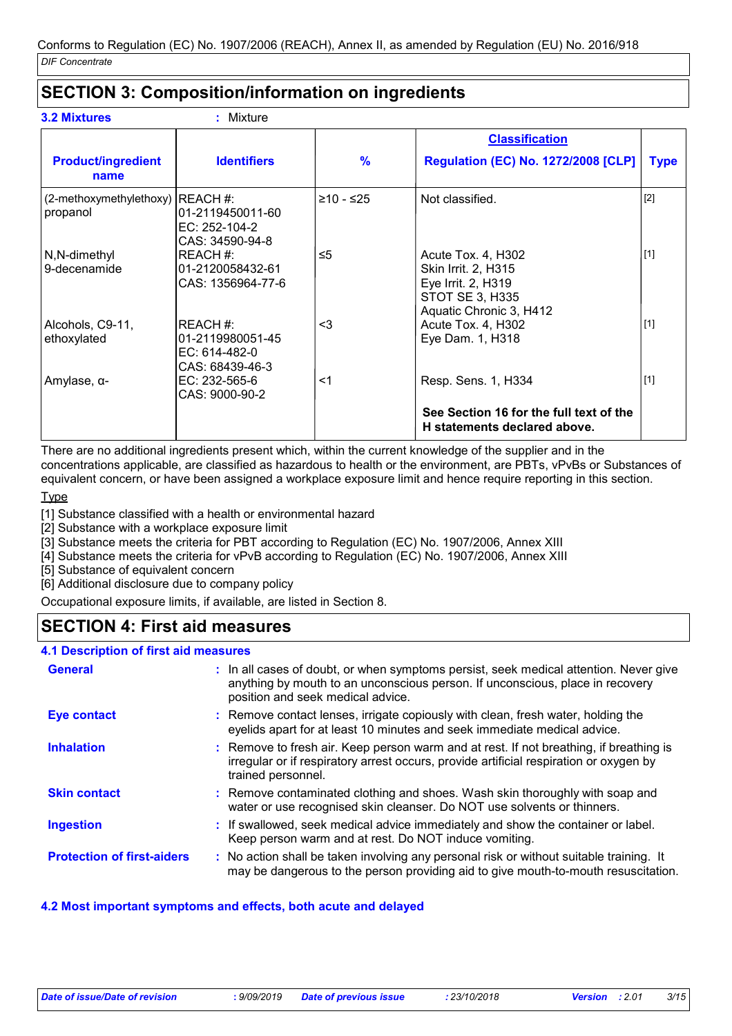# **SECTION 3: Composition/information on ingredients**

| <b>3.2 Mixtures</b>                          | Mixture                                                          |               |                                                                                                                      |             |
|----------------------------------------------|------------------------------------------------------------------|---------------|----------------------------------------------------------------------------------------------------------------------|-------------|
|                                              |                                                                  |               | <b>Classification</b>                                                                                                |             |
| <b>Product/ingredient</b><br>name            | <b>Identifiers</b>                                               | $\frac{9}{6}$ | <b>Regulation (EC) No. 1272/2008 [CLP]</b>                                                                           | <b>Type</b> |
| (2-methoxymethylethoxy) REACH #:<br>propanol | 01-2119450011-60<br>EC: 252-104-2<br>CAS: 34590-94-8             | $≥10 - ≤25$   | Not classified.                                                                                                      | $[2]$       |
| N,N-dimethyl<br>9-decenamide                 | REACH#:<br>01-2120058432-61<br>CAS: 1356964-77-6                 | $\leq 5$      | Acute Tox. 4, H302<br>Skin Irrit. 2, H315<br>Eye Irrit. 2, H319<br><b>STOT SE 3, H335</b><br>Aquatic Chronic 3, H412 | $[1]$       |
| Alcohols, C9-11,<br>ethoxylated              | REACH #:<br>01-2119980051-45<br>EC: 614-482-0<br>CAS: 68439-46-3 | $3$           | Acute Tox. 4, H302<br>Eye Dam. 1, H318                                                                               | $[1]$       |
| Amylase, α-                                  | EC: 232-565-6<br>CAS: 9000-90-2                                  | $<$ 1         | Resp. Sens. 1, H334                                                                                                  | [1]         |
|                                              |                                                                  |               | See Section 16 for the full text of the<br>H statements declared above.                                              |             |

There are no additional ingredients present which, within the current knowledge of the supplier and in the concentrations applicable, are classified as hazardous to health or the environment, are PBTs, vPvBs or Substances of

equivalent concern, or have been assigned a workplace exposure limit and hence require reporting in this section. Type

[1] Substance classified with a health or environmental hazard

[2] Substance with a workplace exposure limit

[3] Substance meets the criteria for PBT according to Regulation (EC) No. 1907/2006, Annex XIII

[4] Substance meets the criteria for vPvB according to Regulation (EC) No. 1907/2006, Annex XIII

[5] Substance of equivalent concern

[6] Additional disclosure due to company policy

Occupational exposure limits, if available, are listed in Section 8.

# **SECTION 4: First aid measures**

#### **4.1 Description of first aid measures**

| <b>General</b>                    | : In all cases of doubt, or when symptoms persist, seek medical attention. Never give<br>anything by mouth to an unconscious person. If unconscious, place in recovery<br>position and seek medical advice. |
|-----------------------------------|-------------------------------------------------------------------------------------------------------------------------------------------------------------------------------------------------------------|
| <b>Eye contact</b>                | : Remove contact lenses, irrigate copiously with clean, fresh water, holding the<br>eyelids apart for at least 10 minutes and seek immediate medical advice.                                                |
| <b>Inhalation</b>                 | : Remove to fresh air. Keep person warm and at rest. If not breathing, if breathing is<br>irregular or if respiratory arrest occurs, provide artificial respiration or oxygen by<br>trained personnel.      |
| <b>Skin contact</b>               | : Remove contaminated clothing and shoes. Wash skin thoroughly with soap and<br>water or use recognised skin cleanser. Do NOT use solvents or thinners.                                                     |
| <b>Ingestion</b>                  | : If swallowed, seek medical advice immediately and show the container or label.<br>Keep person warm and at rest. Do NOT induce vomiting.                                                                   |
| <b>Protection of first-aiders</b> | : No action shall be taken involving any personal risk or without suitable training. It<br>may be dangerous to the person providing aid to give mouth-to-mouth resuscitation.                               |

#### **4.2 Most important symptoms and effects, both acute and delayed**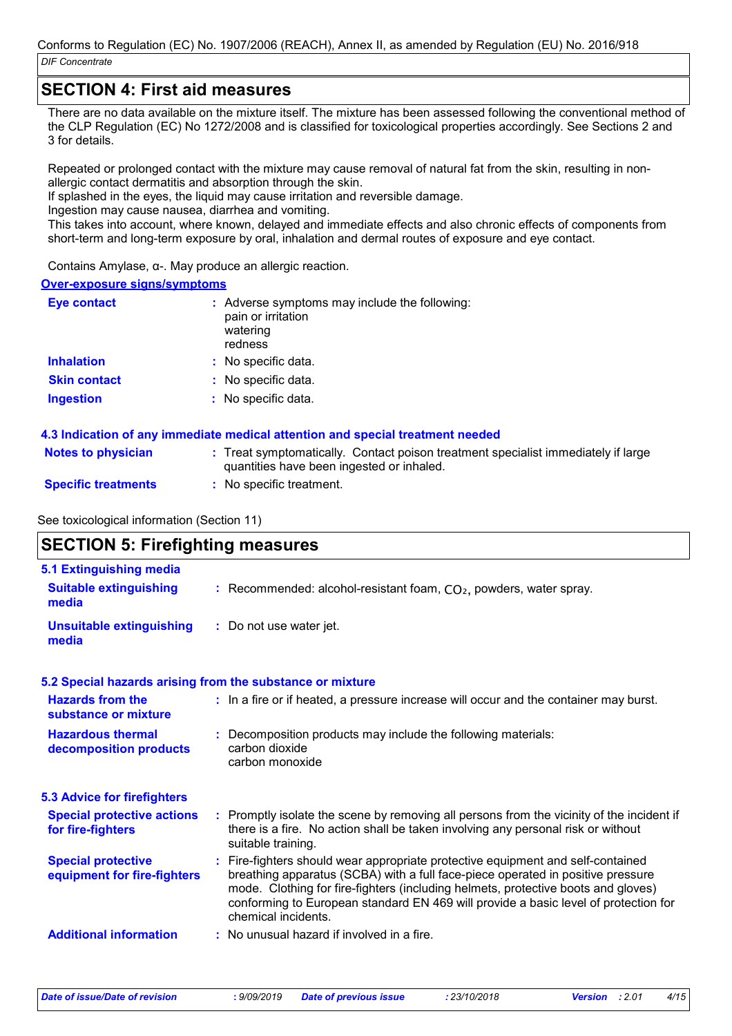### **SECTION 4: First aid measures**

There are no data available on the mixture itself. The mixture has been assessed following the conventional method of the CLP Regulation (EC) No 1272/2008 and is classified for toxicological properties accordingly. See Sections 2 and 3 for details.

Repeated or prolonged contact with the mixture may cause removal of natural fat from the skin, resulting in nonallergic contact dermatitis and absorption through the skin.

If splashed in the eyes, the liquid may cause irritation and reversible damage.

Ingestion may cause nausea, diarrhea and vomiting.

This takes into account, where known, delayed and immediate effects and also chronic effects of components from short-term and long-term exposure by oral, inhalation and dermal routes of exposure and eye contact.

Contains Amylase, α-. May produce an allergic reaction.

#### **Over-exposure signs/symptoms**

| Eye contact         | : Adverse symptoms may include the following:<br>pain or irritation<br>watering<br>redness |
|---------------------|--------------------------------------------------------------------------------------------|
| <b>Inhalation</b>   | : No specific data.                                                                        |
| <b>Skin contact</b> | : No specific data.                                                                        |
| <b>Ingestion</b>    | : No specific data.                                                                        |

#### **4.3 Indication of any immediate medical attention and special treatment needed**

| <b>Notes to physician</b>                 | Treat symptomatically. Contact poison treatment specialist immediately if large |  |  |  |
|-------------------------------------------|---------------------------------------------------------------------------------|--|--|--|
| quantities have been ingested or inhaled. |                                                                                 |  |  |  |
|                                           |                                                                                 |  |  |  |

**Specific treatments :** No specific treatment.

See toxicological information (Section 11)

| <b>SECTION 5: Firefighting measures</b>                  |                                                                                                                                                                                                                                                                                                                                                                       |
|----------------------------------------------------------|-----------------------------------------------------------------------------------------------------------------------------------------------------------------------------------------------------------------------------------------------------------------------------------------------------------------------------------------------------------------------|
| 5.1 Extinguishing media                                  |                                                                                                                                                                                                                                                                                                                                                                       |
| <b>Suitable extinguishing</b><br>media                   | : Recommended: alcohol-resistant foam, $CO2$ , powders, water spray.                                                                                                                                                                                                                                                                                                  |
| <b>Unsuitable extinguishing</b><br>media                 | : Do not use water jet.                                                                                                                                                                                                                                                                                                                                               |
|                                                          | 5.2 Special hazards arising from the substance or mixture                                                                                                                                                                                                                                                                                                             |
| <b>Hazards from the</b><br>substance or mixture          | : In a fire or if heated, a pressure increase will occur and the container may burst.                                                                                                                                                                                                                                                                                 |
| <b>Hazardous thermal</b><br>decomposition products       | : Decomposition products may include the following materials:<br>carbon dioxide<br>carbon monoxide                                                                                                                                                                                                                                                                    |
| <b>5.3 Advice for firefighters</b>                       |                                                                                                                                                                                                                                                                                                                                                                       |
| <b>Special protective actions</b><br>for fire-fighters   | : Promptly isolate the scene by removing all persons from the vicinity of the incident if<br>there is a fire. No action shall be taken involving any personal risk or without<br>suitable training.                                                                                                                                                                   |
| <b>Special protective</b><br>equipment for fire-fighters | : Fire-fighters should wear appropriate protective equipment and self-contained<br>breathing apparatus (SCBA) with a full face-piece operated in positive pressure<br>mode. Clothing for fire-fighters (including helmets, protective boots and gloves)<br>conforming to European standard EN 469 will provide a basic level of protection for<br>chemical incidents. |
| <b>Additional information</b>                            | : No unusual hazard if involved in a fire.                                                                                                                                                                                                                                                                                                                            |
|                                                          |                                                                                                                                                                                                                                                                                                                                                                       |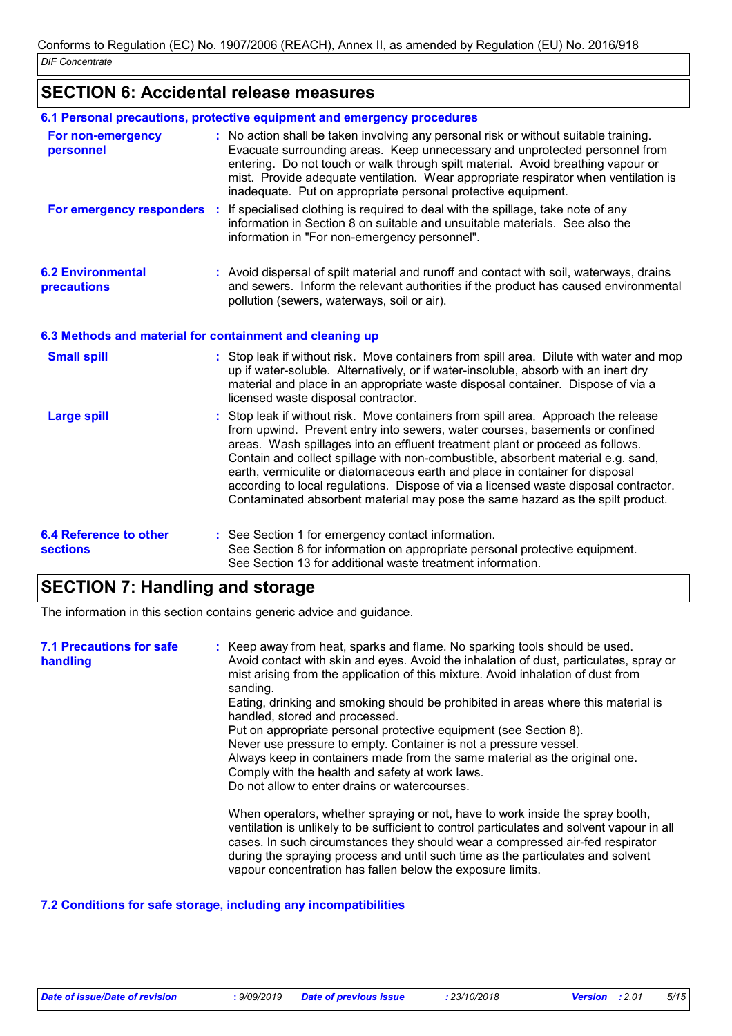# **SECTION 6: Accidental release measures**

|                                                          | 6.1 Personal precautions, protective equipment and emergency procedures                                                                                                                                                                                                                                                                                                                                                                                                                                                                                                                           |  |
|----------------------------------------------------------|---------------------------------------------------------------------------------------------------------------------------------------------------------------------------------------------------------------------------------------------------------------------------------------------------------------------------------------------------------------------------------------------------------------------------------------------------------------------------------------------------------------------------------------------------------------------------------------------------|--|
| For non-emergency<br>personnel                           | : No action shall be taken involving any personal risk or without suitable training.<br>Evacuate surrounding areas. Keep unnecessary and unprotected personnel from<br>entering. Do not touch or walk through spilt material. Avoid breathing vapour or<br>mist. Provide adequate ventilation. Wear appropriate respirator when ventilation is<br>inadequate. Put on appropriate personal protective equipment.                                                                                                                                                                                   |  |
| For emergency responders :                               | If specialised clothing is required to deal with the spillage, take note of any<br>information in Section 8 on suitable and unsuitable materials. See also the<br>information in "For non-emergency personnel".                                                                                                                                                                                                                                                                                                                                                                                   |  |
| <b>6.2 Environmental</b><br>precautions                  | : Avoid dispersal of spilt material and runoff and contact with soil, waterways, drains<br>and sewers. Inform the relevant authorities if the product has caused environmental<br>pollution (sewers, waterways, soil or air).                                                                                                                                                                                                                                                                                                                                                                     |  |
| 6.3 Methods and material for containment and cleaning up |                                                                                                                                                                                                                                                                                                                                                                                                                                                                                                                                                                                                   |  |
| <b>Small spill</b>                                       | : Stop leak if without risk. Move containers from spill area. Dilute with water and mop<br>up if water-soluble. Alternatively, or if water-insoluble, absorb with an inert dry<br>material and place in an appropriate waste disposal container. Dispose of via a<br>licensed waste disposal contractor.                                                                                                                                                                                                                                                                                          |  |
| <b>Large spill</b>                                       | : Stop leak if without risk. Move containers from spill area. Approach the release<br>from upwind. Prevent entry into sewers, water courses, basements or confined<br>areas. Wash spillages into an effluent treatment plant or proceed as follows.<br>Contain and collect spillage with non-combustible, absorbent material e.g. sand,<br>earth, vermiculite or diatomaceous earth and place in container for disposal<br>according to local regulations. Dispose of via a licensed waste disposal contractor.<br>Contaminated absorbent material may pose the same hazard as the spilt product. |  |
| <b>6.4 Reference to other</b><br><b>sections</b>         | : See Section 1 for emergency contact information.<br>See Section 8 for information on appropriate personal protective equipment.<br>See Section 13 for additional waste treatment information.                                                                                                                                                                                                                                                                                                                                                                                                   |  |

# **SECTION 7: Handling and storage**

The information in this section contains generic advice and guidance.

| <b>7.1 Precautions for safe</b><br>handling | : Keep away from heat, sparks and flame. No sparking tools should be used.<br>Avoid contact with skin and eyes. Avoid the inhalation of dust, particulates, spray or<br>mist arising from the application of this mixture. Avoid inhalation of dust from<br>sanding.<br>Eating, drinking and smoking should be prohibited in areas where this material is<br>handled, stored and processed.<br>Put on appropriate personal protective equipment (see Section 8).<br>Never use pressure to empty. Container is not a pressure vessel.<br>Always keep in containers made from the same material as the original one.<br>Comply with the health and safety at work laws.<br>Do not allow to enter drains or watercourses. |
|---------------------------------------------|------------------------------------------------------------------------------------------------------------------------------------------------------------------------------------------------------------------------------------------------------------------------------------------------------------------------------------------------------------------------------------------------------------------------------------------------------------------------------------------------------------------------------------------------------------------------------------------------------------------------------------------------------------------------------------------------------------------------|
|                                             | When operators, whether spraying or not, have to work inside the spray booth,<br>ventilation is unlikely to be sufficient to control particulates and solvent vapour in all<br>cases. In such circumstances they should wear a compressed air-fed respirator<br>during the spraying process and until such time as the particulates and solvent<br>vapour concentration has fallen below the exposure limits.                                                                                                                                                                                                                                                                                                          |

#### **7.2 Conditions for safe storage, including any incompatibilities**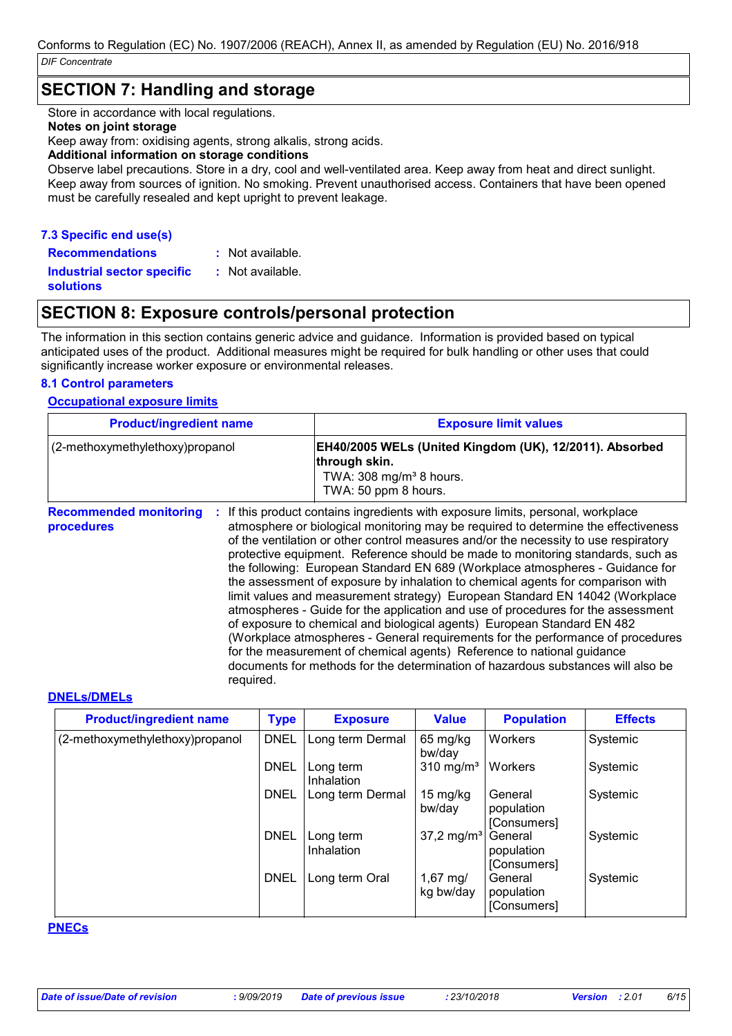## **SECTION 7: Handling and storage**

Store in accordance with local regulations.

#### **Notes on joint storage**

Keep away from: oxidising agents, strong alkalis, strong acids.

#### **Additional information on storage conditions**

Observe label precautions. Store in a dry, cool and well-ventilated area. Keep away from heat and direct sunlight. Keep away from sources of ignition. No smoking. Prevent unauthorised access. Containers that have been opened must be carefully resealed and kept upright to prevent leakage.

#### **7.3 Specific end use(s)**

**Recommendations :**

: Not available. Not available.

**Industrial sector specific : solutions**

# **SECTION 8: Exposure controls/personal protection**

The information in this section contains generic advice and guidance. Information is provided based on typical anticipated uses of the product. Additional measures might be required for bulk handling or other uses that could significantly increase worker exposure or environmental releases.

#### **8.1 Control parameters**

#### **Occupational exposure limits**

| <b>Product/ingredient name</b>   | <b>Exposure limit values</b>                                                                                                                                                                         |
|----------------------------------|------------------------------------------------------------------------------------------------------------------------------------------------------------------------------------------------------|
| (2-methoxymethylethoxy) propanol | EH40/2005 WELs (United Kingdom (UK), 12/2011). Absorbed<br>through skin.<br>TWA: $308 \text{ mg/m}^3$ 8 hours.<br>TWA: 50 ppm 8 hours.                                                               |
| procedures                       | <b>Recommended monitoring</b> : If this product contains ingredients with exposure limits, personal, workplace<br>atmosphere or biological monitoring may be required to determine the effectiveness |

atmosphere or biological monitoring may be required to determine the effectiveness of the ventilation or other control measures and/or the necessity to use respiratory protective equipment. Reference should be made to monitoring standards, such as the following: European Standard EN 689 (Workplace atmospheres - Guidance for the assessment of exposure by inhalation to chemical agents for comparison with limit values and measurement strategy) European Standard EN 14042 (Workplace atmospheres - Guide for the application and use of procedures for the assessment of exposure to chemical and biological agents) European Standard EN 482 (Workplace atmospheres - General requirements for the performance of procedures for the measurement of chemical agents) Reference to national guidance documents for methods for the determination of hazardous substances will also be required.

#### **DNELs/DMELs**

| <b>Product/ingredient name</b>  | <b>Type</b> | <b>Exposure</b>         | <b>Value</b>                     | <b>Population</b>                    | <b>Effects</b> |
|---------------------------------|-------------|-------------------------|----------------------------------|--------------------------------------|----------------|
| (2-methoxymethylethoxy)propanol | <b>DNEL</b> | Long term Dermal        | 65 mg/kg<br>bw/day               | Workers                              | Systemic       |
|                                 | <b>DNEL</b> | Long term<br>Inhalation | $310$ mg/m <sup>3</sup>          | Workers                              | Systemic       |
|                                 | <b>DNEL</b> | Long term Dermal        | 15 mg/kg<br>bw/day               | General<br>population<br>[Consumers] | Systemic       |
|                                 | <b>DNEL</b> | Long term<br>Inhalation | $37,2 \text{ mg/m}^3$            | General<br>population<br>[Consumers] | Systemic       |
|                                 | <b>DNEL</b> | Long term Oral          | $1,67 \, \text{mg}$<br>kg bw/day | General<br>population<br>[Consumers] | Systemic       |

#### **PNECs**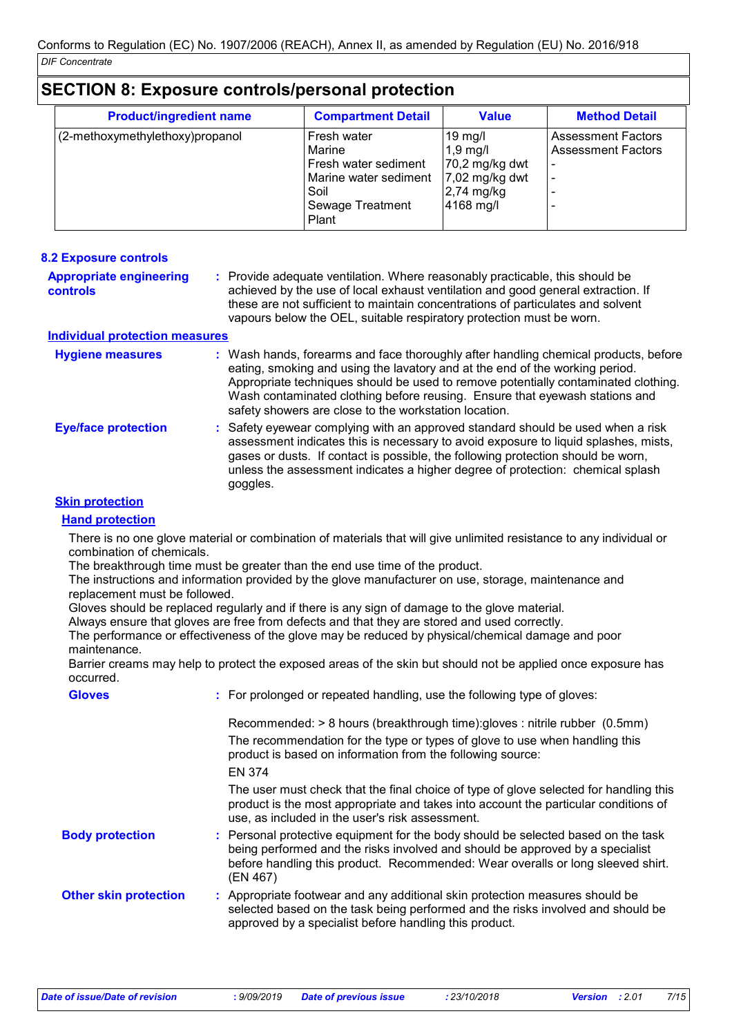| <b>SECTION 8: Exposure controls/personal protection</b> |                                  |                           |                  |                           |  |  |
|---------------------------------------------------------|----------------------------------|---------------------------|------------------|---------------------------|--|--|
|                                                         | <b>Product/ingredient name</b>   | <b>Compartment Detail</b> | <b>Value</b>     | <b>Method Detail</b>      |  |  |
|                                                         | (2-methoxymethylethoxy) propanol | Fresh water               | $19$ mg/l        | <b>Assessment Factors</b> |  |  |
|                                                         |                                  | Marine                    | $1,9$ mg/l       | <b>Assessment Factors</b> |  |  |
|                                                         |                                  | Fresh water sediment      | $70,2$ mg/kg dwt |                           |  |  |
|                                                         |                                  | Marine water sediment     | $7,02$ mg/kg dwt | $\overline{\phantom{0}}$  |  |  |
|                                                         |                                  | Soil                      | 2,74 mg/kg       |                           |  |  |
|                                                         |                                  | Sewage Treatment          | 4168 mg/l        |                           |  |  |
|                                                         |                                  | Plant                     |                  |                           |  |  |

| <b>8.2 Exposure controls</b>                      |                                                                                                                                                                                                                                                                                                                                                                                                   |
|---------------------------------------------------|---------------------------------------------------------------------------------------------------------------------------------------------------------------------------------------------------------------------------------------------------------------------------------------------------------------------------------------------------------------------------------------------------|
| <b>Appropriate engineering</b><br><b>controls</b> | : Provide adequate ventilation. Where reasonably practicable, this should be<br>achieved by the use of local exhaust ventilation and good general extraction. If<br>these are not sufficient to maintain concentrations of particulates and solvent<br>vapours below the OEL, suitable respiratory protection must be worn.                                                                       |
| <b>Individual protection measures</b>             |                                                                                                                                                                                                                                                                                                                                                                                                   |
| <b>Hygiene measures</b>                           | : Wash hands, forearms and face thoroughly after handling chemical products, before<br>eating, smoking and using the lavatory and at the end of the working period.<br>Appropriate techniques should be used to remove potentially contaminated clothing.<br>Wash contaminated clothing before reusing. Ensure that eyewash stations and<br>safety showers are close to the workstation location. |
| <b>Eye/face protection</b>                        | : Safety eyewear complying with an approved standard should be used when a risk<br>assessment indicates this is necessary to avoid exposure to liquid splashes, mists,<br>gases or dusts. If contact is possible, the following protection should be worn,<br>unless the assessment indicates a higher degree of protection: chemical splash<br>goggles.                                          |

#### **Skin protection**

#### **Hand protection**

There is no one glove material or combination of materials that will give unlimited resistance to any individual or combination of chemicals.

The breakthrough time must be greater than the end use time of the product.

The instructions and information provided by the glove manufacturer on use, storage, maintenance and replacement must be followed.

Gloves should be replaced regularly and if there is any sign of damage to the glove material.

Always ensure that gloves are free from defects and that they are stored and used correctly.

The performance or effectiveness of the glove may be reduced by physical/chemical damage and poor maintenance.

Barrier creams may help to protect the exposed areas of the skin but should not be applied once exposure has occurred.

| <b>Gloves</b>                | : For prolonged or repeated handling, use the following type of gloves:                                                                                                                                                                                           |
|------------------------------|-------------------------------------------------------------------------------------------------------------------------------------------------------------------------------------------------------------------------------------------------------------------|
|                              | Recommended: > 8 hours (breakthrough time): gloves : nitrile rubber (0.5mm)                                                                                                                                                                                       |
|                              | The recommendation for the type or types of glove to use when handling this<br>product is based on information from the following source:                                                                                                                         |
|                              | EN 374                                                                                                                                                                                                                                                            |
|                              | The user must check that the final choice of type of glove selected for handling this<br>product is the most appropriate and takes into account the particular conditions of<br>use, as included in the user's risk assessment.                                   |
| <b>Body protection</b>       | : Personal protective equipment for the body should be selected based on the task<br>being performed and the risks involved and should be approved by a specialist<br>before handling this product. Recommended: Wear overalls or long sleeved shirt.<br>(EN 467) |
| <b>Other skin protection</b> | : Appropriate footwear and any additional skin protection measures should be<br>selected based on the task being performed and the risks involved and should be<br>approved by a specialist before handling this product.                                         |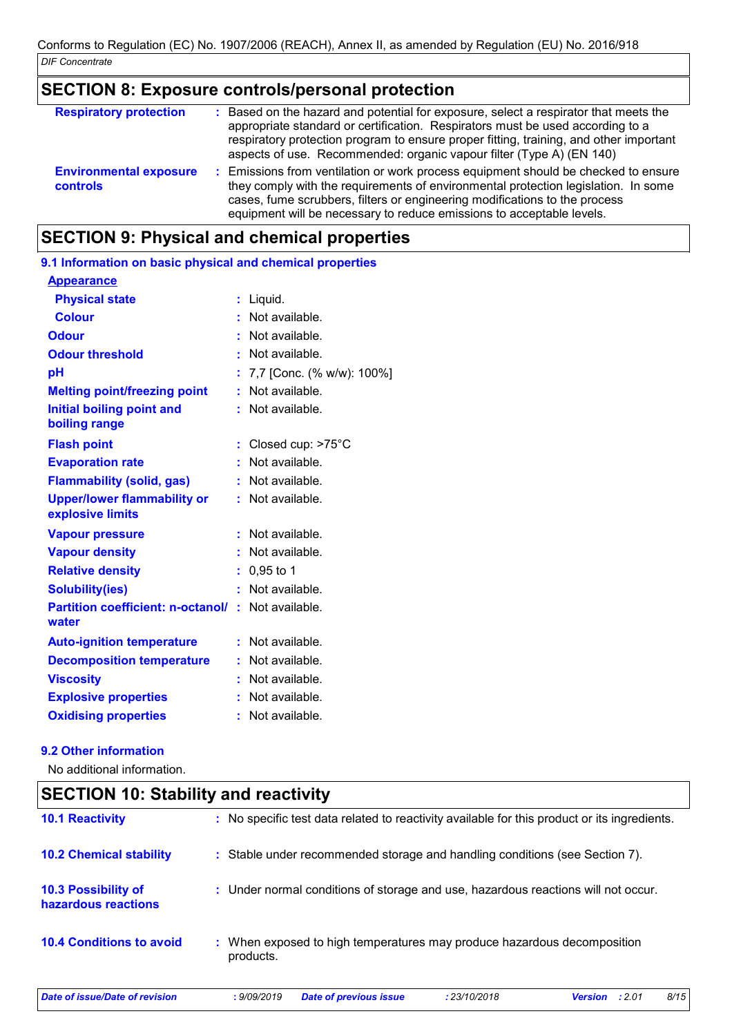# **SECTION 8: Exposure controls/personal protection**

| <b>Respiratory protection</b>                    | Based on the hazard and potential for exposure, select a respirator that meets the<br>appropriate standard or certification. Respirators must be used according to a<br>respiratory protection program to ensure proper fitting, training, and other important<br>aspects of use. Recommended: organic vapour filter (Type A) (EN 140) |
|--------------------------------------------------|----------------------------------------------------------------------------------------------------------------------------------------------------------------------------------------------------------------------------------------------------------------------------------------------------------------------------------------|
| <b>Environmental exposure</b><br><b>controls</b> | Emissions from ventilation or work process equipment should be checked to ensure<br>they comply with the requirements of environmental protection legislation. In some<br>cases, fume scrubbers, filters or engineering modifications to the process<br>equipment will be necessary to reduce emissions to acceptable levels.          |

# **SECTION 9: Physical and chemical properties**

|    | 9.1 Information on basic physical and chemical properties |
|----|-----------------------------------------------------------|
|    |                                                           |
| ÷  | Liquid.                                                   |
|    | Not available.                                            |
|    | Not available.                                            |
|    | : Not available.                                          |
|    | 7,7 [Conc. (% w/w): 100%]                                 |
| t. | Not available.                                            |
| t. | Not available.                                            |
|    | : Closed cup: >75°C                                       |
|    | : Not available.                                          |
|    | : Not available.                                          |
|    | : Not available.                                          |
|    | Not available.                                            |
|    | : Not available.                                          |
|    | $: 0.95$ to 1                                             |
|    | : Not available.                                          |
|    | <b>Partition coefficient: n-octanol/: Not available.</b>  |
|    | : Not available.                                          |
|    | : Not available.                                          |
|    | : Not available.                                          |
|    | Not available.                                            |
|    |                                                           |
|    |                                                           |

### **9.2 Other information**

No additional information.

# **SECTION 10: Stability and reactivity**

| <b>10.1 Reactivity</b>                     | : No specific test data related to reactivity available for this product or its ingredients. |              |                          |      |
|--------------------------------------------|----------------------------------------------------------------------------------------------|--------------|--------------------------|------|
| <b>10.2 Chemical stability</b>             | : Stable under recommended storage and handling conditions (see Section 7).                  |              |                          |      |
| 10.3 Possibility of<br>hazardous reactions | : Under normal conditions of storage and use, hazardous reactions will not occur.            |              |                          |      |
| <b>10.4 Conditions to avoid</b>            | : When exposed to high temperatures may produce hazardous decomposition<br>products.         |              |                          |      |
| Date of issue/Date of revision             | <b>Date of previous issue</b><br>: 9/09/2019                                                 | : 23/10/2018 | <b>Version</b><br>: 2.01 | 8/15 |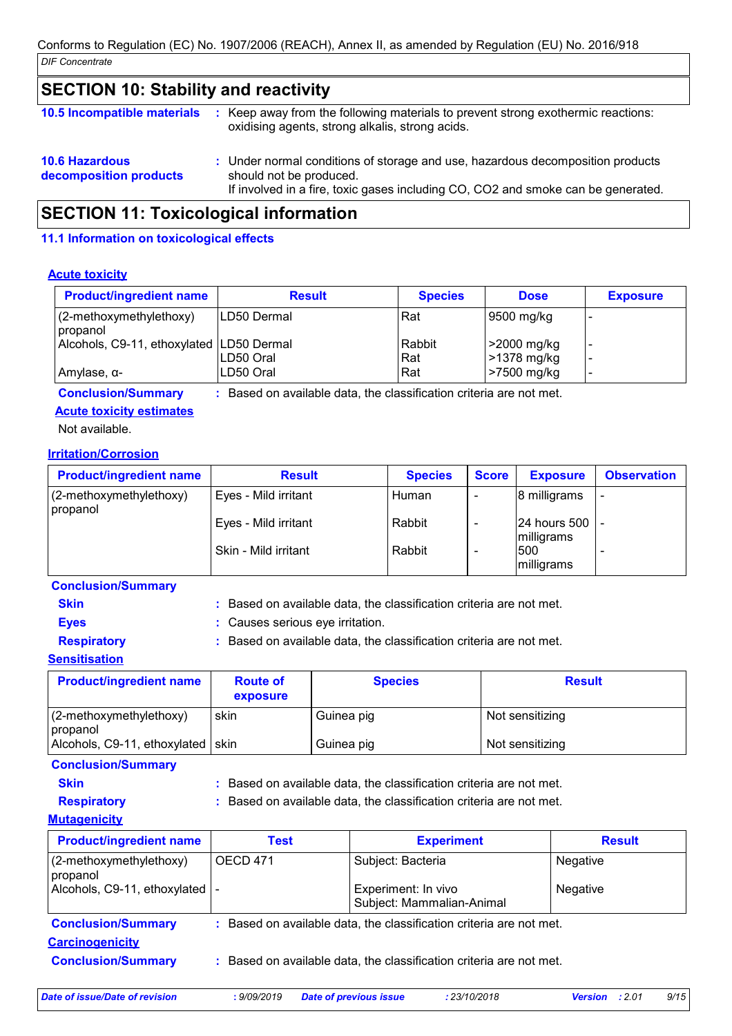### **SECTION 10: Stability and reactivity**

| 10.5 Incompatible materials                     | Keep away from the following materials to prevent strong exothermic reactions:<br>oxidising agents, strong alkalis, strong acids.                                                             |
|-------------------------------------------------|-----------------------------------------------------------------------------------------------------------------------------------------------------------------------------------------------|
| <b>10.6 Hazardous</b><br>decomposition products | : Under normal conditions of storage and use, hazardous decomposition products<br>should not be produced.<br>If involved in a fire, toxic gases including CO, CO2 and smoke can be generated. |
| SECTION 11: Tovicological information           |                                                                                                                                                                                               |

# **SECTION 11: Toxicological information**

### **11.1 Information on toxicological effects**

### **Acute toxicity**

| <b>Product/ingredient name</b>           | <b>Result</b> | <b>Species</b> | <b>Dose</b>               | <b>Exposure</b> |
|------------------------------------------|---------------|----------------|---------------------------|-----------------|
| $(2-methoxymethylethoxy)$<br>propanol    | ILD50 Dermal  | Rat            | 9500 mg/kg                |                 |
| Alcohols, C9-11, ethoxylated LD50 Dermal | LD50 Oral     | Rabbit<br>Rat  | 2000 mg/kg<br>>1378 mg/kg |                 |
| Amylase, α-                              | LD50 Oral     | Rat            | >7500 mg/kg               |                 |

**Conclusion/Summary :** Based on available data, the classification criteria are not met.

### **Acute toxicity estimates**

Not available.

### **Irritation/Corrosion**

| <b>Product/ingredient name</b>      | <b>Result</b>        | <b>Species</b> | <b>Score</b> | <b>Exposure</b>                        | <b>Observation</b> |
|-------------------------------------|----------------------|----------------|--------------|----------------------------------------|--------------------|
| (2-methoxymethylethoxy)<br>propanol | Eyes - Mild irritant | Human          |              | 8 milligrams                           |                    |
|                                     | Eyes - Mild irritant | Rabbit         |              | $24$ hours 500 $\vert$ -<br>milligrams |                    |
|                                     | Skin - Mild irritant | Rabbit         |              | 500<br>milligrams                      |                    |

#### **Conclusion/Summary**

**Skin Example 2018 :** Based on available data, the classification criteria are not met.

- **Eyes :** Causes serious eye irritation.
- 
- **Respiratory :** Based on available data, the classification criteria are not met.

#### **Sensitisation**

| <b>Product/ingredient name</b>      | <b>Route of</b><br>exposure | <b>Species</b> | <b>Result</b>   |
|-------------------------------------|-----------------------------|----------------|-----------------|
| (2-methoxymethylethoxy)<br>propanol | skin                        | Guinea pig     | Not sensitizing |
| Alcohols, C9-11, ethoxylated   skin |                             | Guinea pig     | Not sensitizing |

#### **Conclusion/Summary**

**Skin Example 2018 :** Based on available data, the classification criteria are not met.

**Respiratory :** Based on available data, the classification criteria are not met.

**Mutagenicity**

| <b>Product/ingredient name</b>      | <b>Test</b>     | <b>Experiment</b>                                                   | <b>Result</b> |
|-------------------------------------|-----------------|---------------------------------------------------------------------|---------------|
| (2-methoxymethylethoxy)<br>propanol | <b>OECD 471</b> | Subject: Bacteria                                                   | Negative      |
| Alcohols, C9-11, ethoxylated        |                 | Experiment: In vivo<br>Subject: Mammalian-Animal                    | Negative      |
| <b>Conclusion/Summary</b>           |                 | : Based on available data, the classification criteria are not met. |               |
| <b>Carcinogenicity</b>              |                 |                                                                     |               |
| <b>Conclusion/Summary</b>           |                 | Based on available data, the classification criteria are not met.   |               |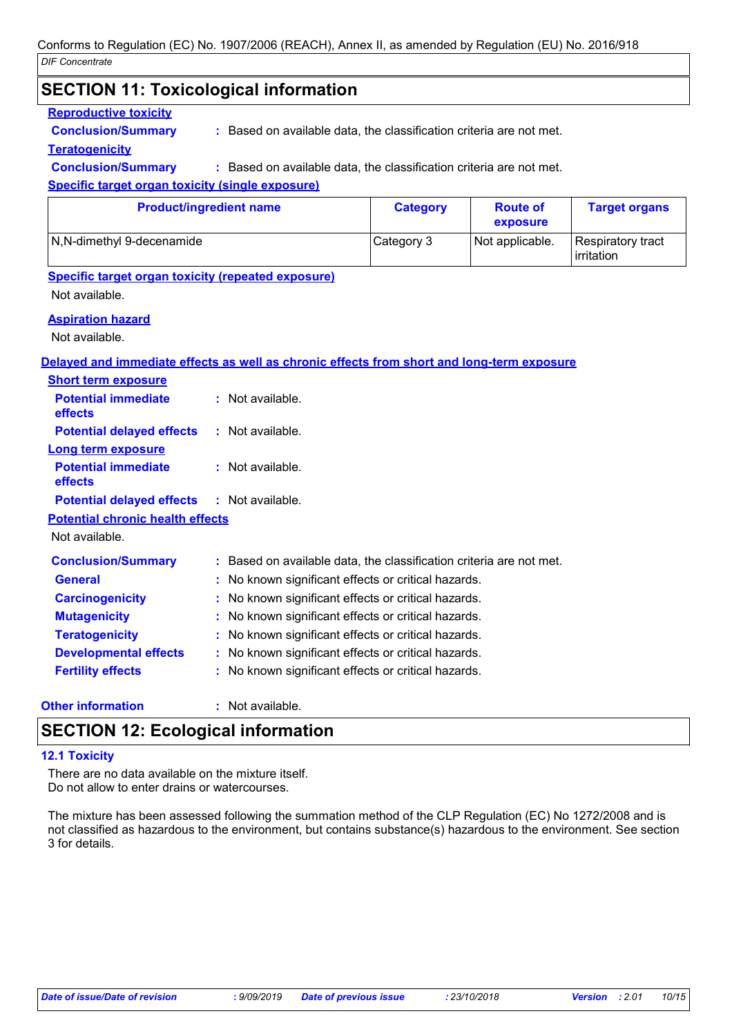### **SECTION 11: Toxicological information**

#### **Reproductive toxicity**

**Conclusion/Summary :** Based on available data, the classification criteria are not met.

#### **Teratogenicity**

**Conclusion/Summary :** Based on available data, the classification criteria are not met. **Specific target organ toxicity (single exposure)**

| <b>Product/ingredient name</b> | <b>Category</b> | <b>Route of</b><br>exposure | <b>Target organs</b>            |
|--------------------------------|-----------------|-----------------------------|---------------------------------|
| N,N-dimethyl 9-decenamide      | Category 3      | Not applicable.             | Respiratory tract<br>irritation |

#### **Specific target organ toxicity (repeated exposure)**

Not available.

#### **Aspiration hazard**

Not available.

#### **Delayed and immediate effects as well as chronic effects from short and long-term exposure**

| <b>Short term exposure</b>                        |                                                                     |
|---------------------------------------------------|---------------------------------------------------------------------|
| <b>Potential immediate</b><br>effects             | $:$ Not available.                                                  |
| <b>Potential delayed effects</b>                  | : Not available.                                                    |
| <b>Long term exposure</b>                         |                                                                     |
| <b>Potential immediate</b><br>effects             | : Not available.                                                    |
| <b>Potential delayed effects : Not available.</b> |                                                                     |
| <b>Potential chronic health effects</b>           |                                                                     |
| Not available.                                    |                                                                     |
| <b>Conclusion/Summary</b>                         | : Based on available data, the classification criteria are not met. |
| <b>General</b>                                    | : No known significant effects or critical hazards.                 |
| <b>Carcinogenicity</b>                            | : No known significant effects or critical hazards.                 |
| <b>Mutagenicity</b>                               | : No known significant effects or critical hazards.                 |
| <b>Teratogenicity</b>                             | : No known significant effects or critical hazards.                 |
| <b>Developmental effects</b>                      | : No known significant effects or critical hazards.                 |
| <b>Fertility effects</b>                          | : No known significant effects or critical hazards.                 |
| <b>Other information</b>                          | $:$ Not available.                                                  |

### **SECTION 12: Ecological information**

#### **12.1 Toxicity**

There are no data available on the mixture itself. Do not allow to enter drains or watercourses.

The mixture has been assessed following the summation method of the CLP Regulation (EC) No 1272/2008 and is not classified as hazardous to the environment, but contains substance(s) hazardous to the environment. See section 3 for details.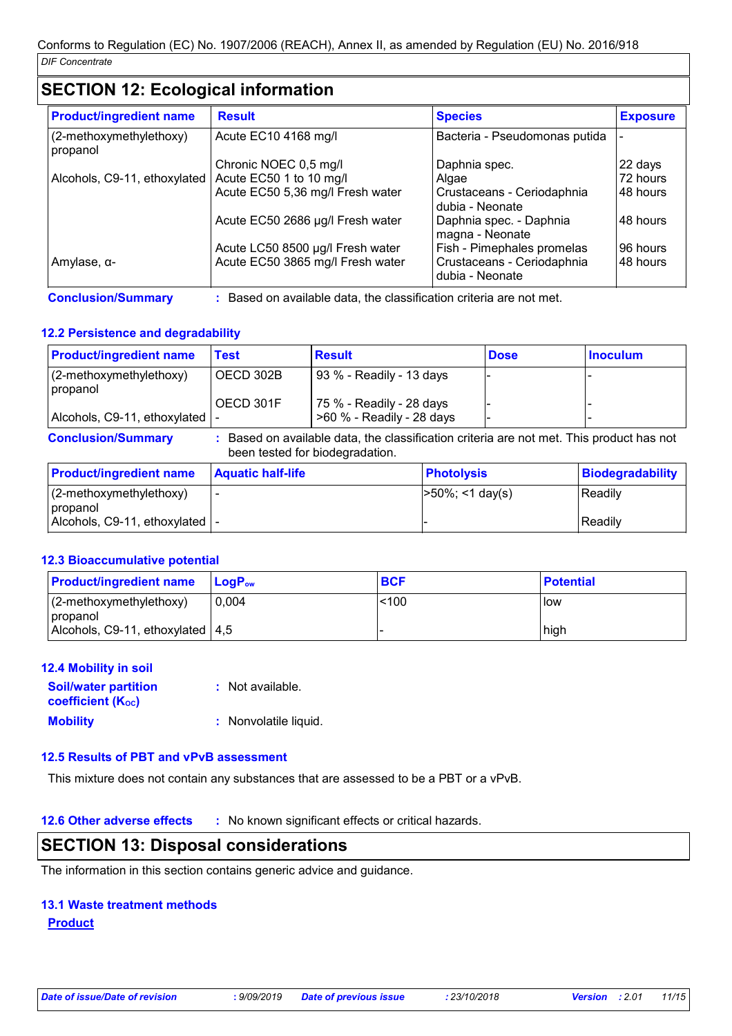# **SECTION 12: Ecological information**

| <b>Product/ingredient name</b>      | <b>Result</b>                    | <b>Species</b>                                | <b>Exposure</b> |
|-------------------------------------|----------------------------------|-----------------------------------------------|-----------------|
| (2-methoxymethylethoxy)<br>propanol | Acute EC10 4168 mg/l             | Bacteria - Pseudomonas putida                 |                 |
|                                     | Chronic NOEC 0,5 mg/l            | Daphnia spec.                                 | 22 days         |
| Alcohols, C9-11, ethoxylated        | Acute EC50 1 to 10 mg/l          | Algae                                         | 72 hours        |
|                                     | Acute EC50 5,36 mg/l Fresh water | Crustaceans - Ceriodaphnia<br>dubia - Neonate | 48 hours        |
|                                     | Acute EC50 2686 µg/l Fresh water | Daphnia spec. - Daphnia<br>magna - Neonate    | 48 hours        |
|                                     | Acute LC50 8500 µg/l Fresh water | Fish - Pimephales promelas                    | 96 hours        |
| Amylase, $\alpha$ -                 | Acute EC50 3865 mg/l Fresh water | Crustaceans - Ceriodaphnia<br>dubia - Neonate | 48 hours        |

**Conclusion/Summary :** Based on available data, the classification criteria are not met.

### **12.2 Persistence and degradability**

| <b>Product/ingredient name</b>      | <b>Test</b>                                                                                                                 | <b>Result</b>             |                   | <b>Dose</b> | <b>Inoculum</b>         |
|-------------------------------------|-----------------------------------------------------------------------------------------------------------------------------|---------------------------|-------------------|-------------|-------------------------|
| (2-methoxymethylethoxy)<br>propanol | OECD 302B                                                                                                                   | 93 % - Readily - 13 days  |                   |             |                         |
|                                     | OECD 301F                                                                                                                   | 75 % - Readily - 28 days  |                   |             |                         |
| Alcohols, C9-11, ethoxylated        |                                                                                                                             | >60 % - Readily - 28 days |                   |             |                         |
| <b>Conclusion/Summary</b>           | : Based on available data, the classification criteria are not met. This product has not<br>been tested for biodegradation. |                           |                   |             |                         |
| <b>Product/ingredient name</b>      | <b>Aquatic half-life</b>                                                                                                    |                           | <b>Photolysis</b> |             | <b>Biodegradability</b> |

(2-methoxymethylethoxy) |-<br>propanol Readily

Alcohols, C9-11, ethoxylated |-  $\qquad \qquad$  |-  $\qquad \qquad$  | Readily

### **12.3 Bioaccumulative potential**

(2-methoxymethylethoxy)

| <b>Product/ingredient name</b>         | $\mathsf{LogP}_\mathsf{ow}$ | <b>BCF</b> | <b>Potential</b> |
|----------------------------------------|-----------------------------|------------|------------------|
| $(2$ -methoxymethylethoxy)<br>propanol | 0.004                       | $<$ 100    | l low            |
| Alcohols, C9-11, ethoxylated   4,5     |                             |            | high             |

#### **Mobility :** Nonvolatile liquid. **12.4 Mobility in soil Soil/water partition coefficient (KOC) :** Not available.

#### **12.5 Results of PBT and vPvB assessment**

This mixture does not contain any substances that are assessed to be a PBT or a vPvB.

**12.6 Other adverse effects** : No known significant effects or critical hazards.

### **SECTION 13: Disposal considerations**

The information in this section contains generic advice and guidance.

#### **13.1 Waste treatment methods**

#### **Product**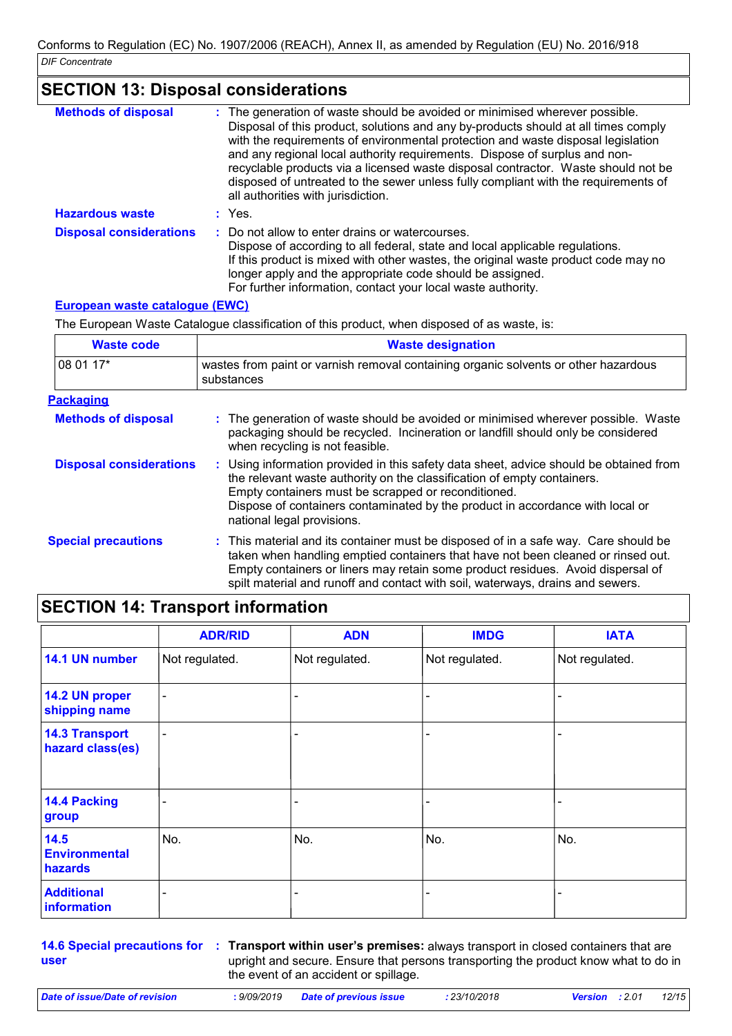### **SECTION 13: Disposal considerations**

| <b>Methods of disposal</b>     | : The generation of waste should be avoided or minimised wherever possible.<br>Disposal of this product, solutions and any by-products should at all times comply<br>with the requirements of environmental protection and waste disposal legislation<br>and any regional local authority requirements. Dispose of surplus and non-<br>recyclable products via a licensed waste disposal contractor. Waste should not be<br>disposed of untreated to the sewer unless fully compliant with the requirements of<br>all authorities with jurisdiction. |  |
|--------------------------------|------------------------------------------------------------------------------------------------------------------------------------------------------------------------------------------------------------------------------------------------------------------------------------------------------------------------------------------------------------------------------------------------------------------------------------------------------------------------------------------------------------------------------------------------------|--|
| <b>Hazardous waste</b>         | $:$ Yes.                                                                                                                                                                                                                                                                                                                                                                                                                                                                                                                                             |  |
| <b>Disposal considerations</b> | Do not allow to enter drains or watercourses.<br>Dispose of according to all federal, state and local applicable regulations.<br>If this product is mixed with other wastes, the original waste product code may no<br>longer apply and the appropriate code should be assigned.<br>For further information, contact your local waste authority.                                                                                                                                                                                                     |  |

#### **European waste catalogue (EWC)**

The European Waste Catalogue classification of this product, when disposed of as waste, is:

| Waste code | <b>Waste designation</b>                                                                          |
|------------|---------------------------------------------------------------------------------------------------|
| $1080117*$ | wastes from paint or varnish removal containing organic solvents or other hazardous<br>substances |

#### **Packaging**

| <u>rachaumu</u>                |                                                                                                                                                                                                                                                                                                                                              |  |
|--------------------------------|----------------------------------------------------------------------------------------------------------------------------------------------------------------------------------------------------------------------------------------------------------------------------------------------------------------------------------------------|--|
| <b>Methods of disposal</b>     | : The generation of waste should be avoided or minimised wherever possible. Waste<br>packaging should be recycled. Incineration or landfill should only be considered<br>when recycling is not feasible.                                                                                                                                     |  |
| <b>Disposal considerations</b> | : Using information provided in this safety data sheet, advice should be obtained from<br>the relevant waste authority on the classification of empty containers.<br>Empty containers must be scrapped or reconditioned.<br>Dispose of containers contaminated by the product in accordance with local or<br>national legal provisions.      |  |
| <b>Special precautions</b>     | : This material and its container must be disposed of in a safe way. Care should be<br>taken when handling emptied containers that have not been cleaned or rinsed out.<br>Empty containers or liners may retain some product residues. Avoid dispersal of<br>spilt material and runoff and contact with soil, waterways, drains and sewers. |  |

### **SECTION 14: Transport information**

|                                           | <b>ADR/RID</b> | <b>ADN</b>     | <b>IMDG</b>    | <b>IATA</b>    |
|-------------------------------------------|----------------|----------------|----------------|----------------|
| 14.1 UN number                            | Not regulated. | Not regulated. | Not regulated. | Not regulated. |
| 14.2 UN proper<br>shipping name           | $\blacksquare$ |                |                |                |
| <b>14.3 Transport</b><br>hazard class(es) |                |                |                |                |
| 14.4 Packing<br>group                     |                |                |                |                |
| 14.5<br><b>Environmental</b><br>hazards   | No.            | No.            | No.            | No.            |
| <b>Additional</b><br>information          |                |                |                |                |

**14.6 Special precautions for : Transport within user's premises: always transport in closed containers that are user** upright and secure. Ensure that persons transporting the product know what to do in the event of an accident or spillage.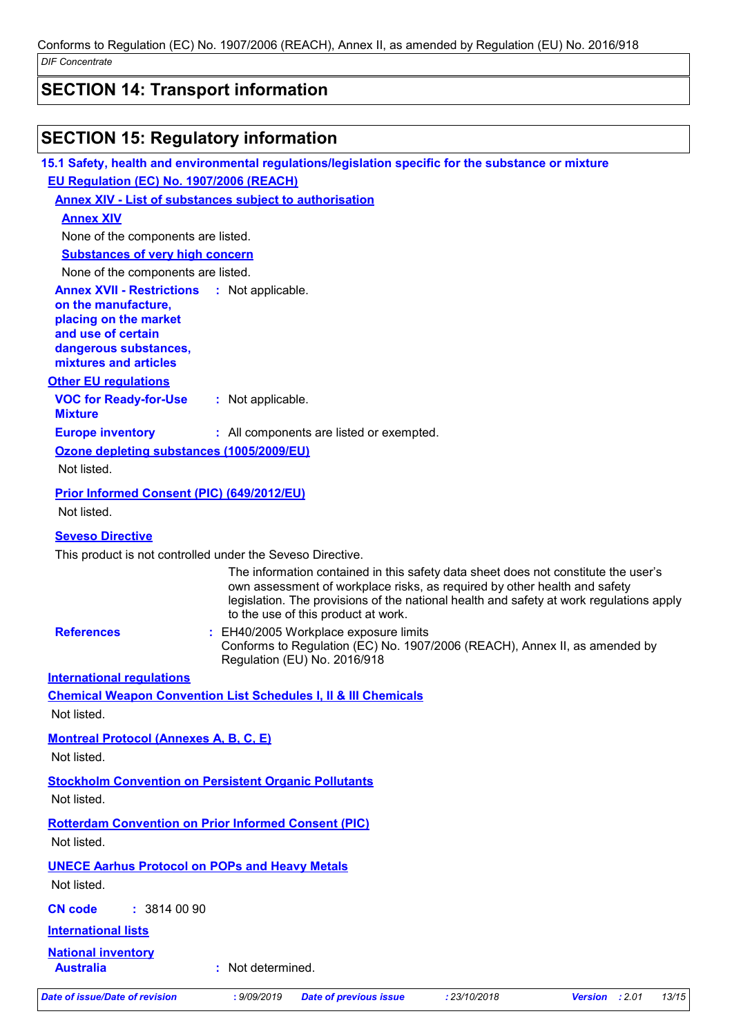*DIF Concentrate* Conforms to Regulation (EC) No. 1907/2006 (REACH), Annex II, as amended by Regulation (EU) No. 2016/918

### **SECTION 14: Transport information**

### **SECTION 15: Regulatory information**

#### **15.1 Safety, health and environmental regulations/legislation specific for the substance or mixture**

**EU Regulation (EC) No. 1907/2006 (REACH)**

**Annex XIV - List of substances subject to authorisation**

#### **Annex XIV**

None of the components are listed.

**Substances of very high concern**

None of the components are listed.

**Annex XVII - Restrictions** : Not applicable.

# **on the manufacture,**

**placing on the market and use of certain dangerous substances, mixtures and articles**

#### **Other EU regulations**

**VOC for Ready-for-Use Mixture :** Not applicable.

**Europe inventory :** All components are listed or exempted.

**Ozone depleting substances (1005/2009/EU)**

Not listed.

#### **Prior Informed Consent (PIC) (649/2012/EU)**

Not listed.

#### **Seveso Directive**

This product is not controlled under the Seveso Directive.

The information contained in this safety data sheet does not constitute the user's own assessment of workplace risks, as required by other health and safety legislation. The provisions of the national health and safety at work regulations apply to the use of this product at work.

**References :**

EH40/2005 Workplace exposure limits Conforms to Regulation (EC) No. 1907/2006 (REACH), Annex II, as amended by Regulation (EU) No. 2016/918

#### **International regulations**

| <b>Chemical Weapon Convention List Schedules I, II &amp; III Chemicals</b> |
|----------------------------------------------------------------------------|
| Not listed.                                                                |
| <u>Montreal Protocol (Annexes A, B, C, E)</u>                              |
| Not listed.                                                                |
| <u>Stockholm Convention on Persistent Organic Pollutants</u>               |
| Not listed.                                                                |
| <b>Rotterdam Convention on Prior Informed Consent (PIC)</b>                |
| Not listed.                                                                |
| <b>UNECE Aarhus Protocol on POPs and Heavy Metals</b>                      |
| Not listed.                                                                |

**CN code :** 3814 00 90

### **International lists**

**National inventory**

**Australia :** Not determined.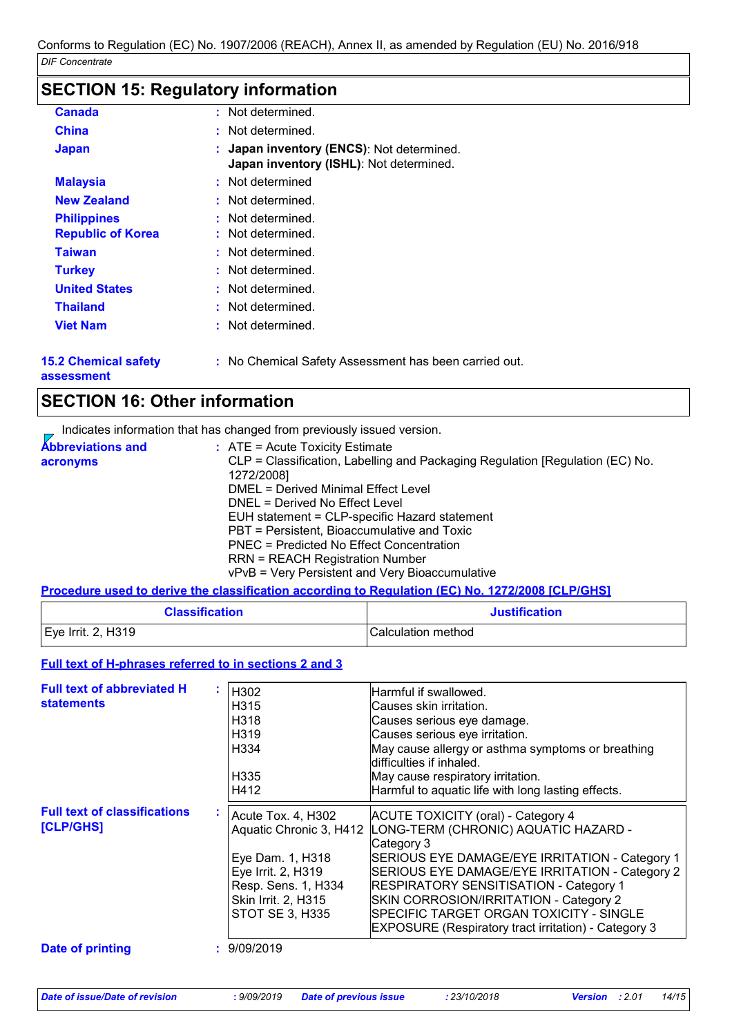# **SECTION 15: Regulatory information**

| <b>Canada</b>            | : Not determined.                                                                    |
|--------------------------|--------------------------------------------------------------------------------------|
| <b>China</b>             | : Not determined.                                                                    |
| <b>Japan</b>             | : Japan inventory (ENCS): Not determined.<br>Japan inventory (ISHL): Not determined. |
| <b>Malaysia</b>          | : Not determined                                                                     |
| <b>New Zealand</b>       | : Not determined.                                                                    |
| <b>Philippines</b>       | : Not determined.                                                                    |
| <b>Republic of Korea</b> | : Not determined.                                                                    |
| Taiwan                   | : Not determined.                                                                    |
| <b>Turkey</b>            | : Not determined.                                                                    |
| <b>United States</b>     | Not determined.                                                                      |
| <b>Thailand</b>          | : Not determined.                                                                    |
| <b>Viet Nam</b>          | : Not determined.                                                                    |
|                          |                                                                                      |

**15.2 Chemical safety** 

**:** No Chemical Safety Assessment has been carried out.

**assessment**

# **SECTION 16: Other information**

|                                      | Indicates information that has changed from previously issued version.                                                                                                                                                                                                                                                                                                                          |
|--------------------------------------|-------------------------------------------------------------------------------------------------------------------------------------------------------------------------------------------------------------------------------------------------------------------------------------------------------------------------------------------------------------------------------------------------|
| <b>Abbreviations and</b><br>acronyms | $:$ ATE = Acute Toxicity Estimate<br>CLP = Classification, Labelling and Packaging Regulation [Regulation (EC) No.<br>1272/2008]<br>DMEL = Derived Minimal Effect Level<br>DNEL = Derived No Effect Level<br>EUH statement = CLP-specific Hazard statement<br>PBT = Persistent, Bioaccumulative and Toxic<br>PNEC = Predicted No Effect Concentration<br><b>RRN = REACH Registration Number</b> |
|                                      | vPvB = Very Persistent and Very Bioaccumulative                                                                                                                                                                                                                                                                                                                                                 |

#### **Procedure used to derive the classification according to Regulation (EC) No. 1272/2008 [CLP/GHS]**

| <b>Classification</b> | <b>Justification</b> |
|-----------------------|----------------------|
| Eye Irrit. 2, H319    | Calculation method   |

### **Full text of H-phrases referred to in sections 2 and 3**

| <b>Full text of abbreviated H</b><br><b>statements</b> | H302<br>H315<br>H318<br>H319<br>H <sub>3</sub> 34<br>H335<br>H412                                                                    | Harmful if swallowed.<br>Causes skin irritation.<br>Causes serious eye damage.<br>Causes serious eye irritation.<br>May cause allergy or asthma symptoms or breathing<br>difficulties if inhaled.<br>May cause respiratory irritation.<br>Harmful to aquatic life with long lasting effects.                                                                                                                              |
|--------------------------------------------------------|--------------------------------------------------------------------------------------------------------------------------------------|---------------------------------------------------------------------------------------------------------------------------------------------------------------------------------------------------------------------------------------------------------------------------------------------------------------------------------------------------------------------------------------------------------------------------|
| <b>Full text of classifications</b><br>[CLP/GHS]       | Acute Tox. 4, H302<br>Eye Dam. 1, H318<br>Eye Irrit. 2, H319<br>Resp. Sens. 1, H334<br>Skin Irrit. 2, H315<br><b>STOT SE 3, H335</b> | ACUTE TOXICITY (oral) - Category 4<br>Aquatic Chronic 3, H412 LONG-TERM (CHRONIC) AQUATIC HAZARD -<br>Category 3<br>SERIOUS EYE DAMAGE/EYE IRRITATION - Category 1<br>SERIOUS EYE DAMAGE/EYE IRRITATION - Category 2<br><b>RESPIRATORY SENSITISATION - Category 1</b><br>SKIN CORROSION/IRRITATION - Category 2<br>SPECIFIC TARGET ORGAN TOXICITY - SINGLE<br><b>EXPOSURE</b> (Respiratory tract irritation) - Category 3 |
| <b>Date of printing</b>                                | : 9/09/2019                                                                                                                          |                                                                                                                                                                                                                                                                                                                                                                                                                           |